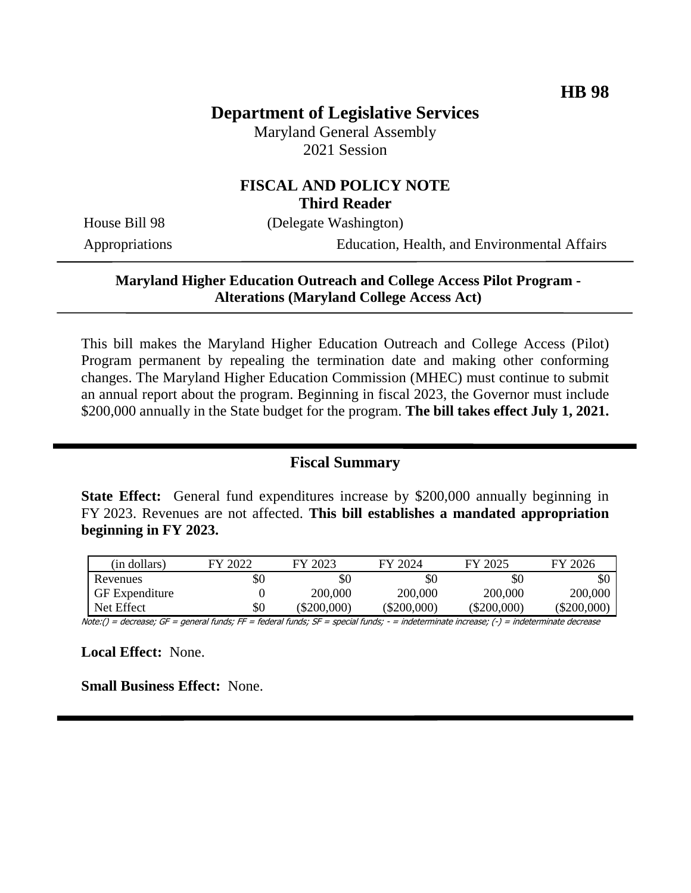## **Department of Legislative Services**

Maryland General Assembly 2021 Session

### **FISCAL AND POLICY NOTE Third Reader**

House Bill 98 (Delegate Washington)

Appropriations Education, Health, and Environmental Affairs

### **Maryland Higher Education Outreach and College Access Pilot Program - Alterations (Maryland College Access Act)**

This bill makes the Maryland Higher Education Outreach and College Access (Pilot) Program permanent by repealing the termination date and making other conforming changes. The Maryland Higher Education Commission (MHEC) must continue to submit an annual report about the program. Beginning in fiscal 2023, the Governor must include \$200,000 annually in the State budget for the program. **The bill takes effect July 1, 2021.**

### **Fiscal Summary**

**State Effect:** General fund expenditures increase by \$200,000 annually beginning in FY 2023. Revenues are not affected. **This bill establishes a mandated appropriation beginning in FY 2023.**

| (in dollars)          | FY 2022 | FY 2023   | FY 2024   | FY 2025       | FY 2026     |
|-----------------------|---------|-----------|-----------|---------------|-------------|
| Revenues              | \$0     | \$0       | \$0       | \$0           | \$0         |
| <b>GF</b> Expenditure |         | 200,000   | 200,000   | 200,000       | 200,000     |
| Net Effect            | \$0     | \$200,000 | \$200,000 | $(\$200,000)$ | (\$200,000) |

Note:() = decrease; GF = general funds; FF = federal funds; SF = special funds; - = indeterminate increase; (-) = indeterminate decrease

**Local Effect:** None.

**Small Business Effect:** None.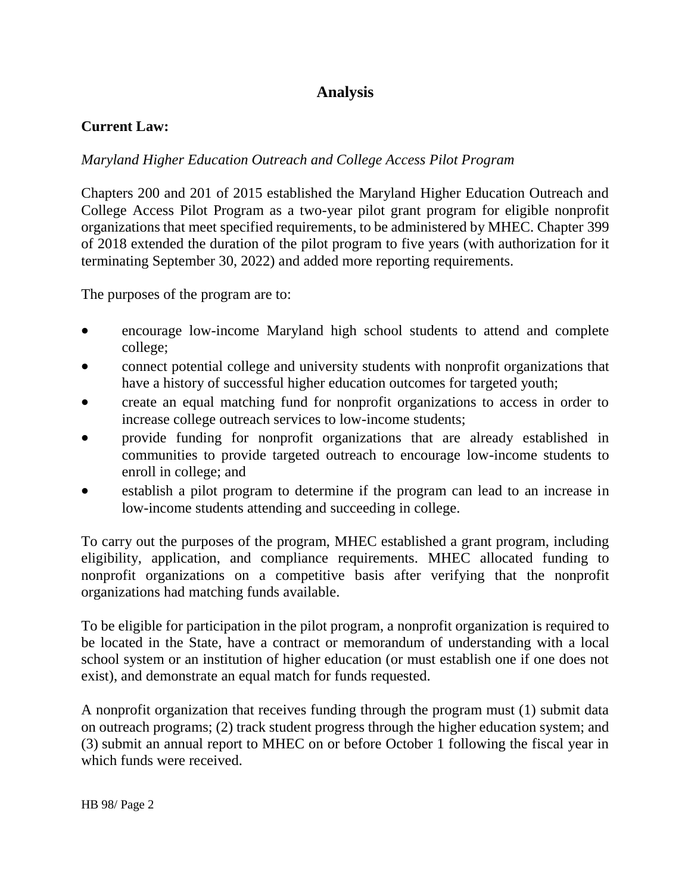# **Analysis**

## **Current Law:**

### *Maryland Higher Education Outreach and College Access Pilot Program*

Chapters 200 and 201 of 2015 established the Maryland Higher Education Outreach and College Access Pilot Program as a two-year pilot grant program for eligible nonprofit organizations that meet specified requirements, to be administered by MHEC. Chapter 399 of 2018 extended the duration of the pilot program to five years (with authorization for it terminating September 30, 2022) and added more reporting requirements.

The purposes of the program are to:

- encourage low-income Maryland high school students to attend and complete college;
- connect potential college and university students with nonprofit organizations that have a history of successful higher education outcomes for targeted youth;
- create an equal matching fund for nonprofit organizations to access in order to increase college outreach services to low-income students;
- provide funding for nonprofit organizations that are already established in communities to provide targeted outreach to encourage low-income students to enroll in college; and
- establish a pilot program to determine if the program can lead to an increase in low-income students attending and succeeding in college.

To carry out the purposes of the program, MHEC established a grant program, including eligibility, application, and compliance requirements. MHEC allocated funding to nonprofit organizations on a competitive basis after verifying that the nonprofit organizations had matching funds available.

To be eligible for participation in the pilot program, a nonprofit organization is required to be located in the State, have a contract or memorandum of understanding with a local school system or an institution of higher education (or must establish one if one does not exist), and demonstrate an equal match for funds requested.

A nonprofit organization that receives funding through the program must (1) submit data on outreach programs; (2) track student progress through the higher education system; and (3) submit an annual report to MHEC on or before October 1 following the fiscal year in which funds were received.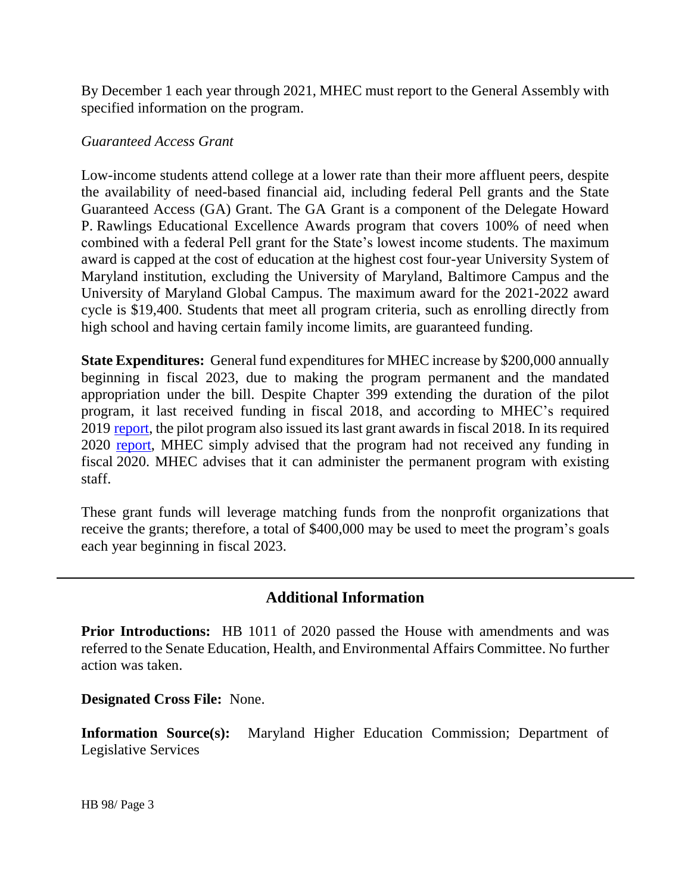By December 1 each year through 2021, MHEC must report to the General Assembly with specified information on the program.

### *Guaranteed Access Grant*

Low-income students attend college at a lower rate than their more affluent peers, despite the availability of need-based financial aid, including federal Pell grants and the State Guaranteed Access (GA) Grant. The GA Grant is a component of the Delegate Howard P. Rawlings Educational Excellence Awards program that covers 100% of need when combined with a federal Pell grant for the State's lowest income students. The maximum award is capped at the cost of education at the highest cost four-year University System of Maryland institution, excluding the University of Maryland, Baltimore Campus and the University of Maryland Global Campus. The maximum award for the 2021-2022 award cycle is \$19,400. Students that meet all program criteria, such as enrolling directly from high school and having certain family income limits, are guaranteed funding.

**State Expenditures:** General fund expenditures for MHEC increase by \$200,000 annually beginning in fiscal 2023, due to making the program permanent and the mandated appropriation under the bill. Despite Chapter 399 extending the duration of the pilot program, it last received funding in fiscal 2018, and according to MHEC's required 2019 [report,](http://dlslibrary.state.md.us/publications/Exec/MHEC/ED11-1106(b)_2019.pdf) the pilot program also issued its last grant awards in fiscal 2018. In its required 2020 [report,](http://dlslibrary.state.md.us/publications/Exec/MHEC/ED11-1106(b)_2020.pdf) MHEC simply advised that the program had not received any funding in fiscal 2020. MHEC advises that it can administer the permanent program with existing staff.

These grant funds will leverage matching funds from the nonprofit organizations that receive the grants; therefore, a total of \$400,000 may be used to meet the program's goals each year beginning in fiscal 2023.

### **Additional Information**

**Prior Introductions:** HB 1011 of 2020 passed the House with amendments and was referred to the Senate Education, Health, and Environmental Affairs Committee. No further action was taken.

**Designated Cross File:** None.

**Information Source(s):** Maryland Higher Education Commission; Department of Legislative Services